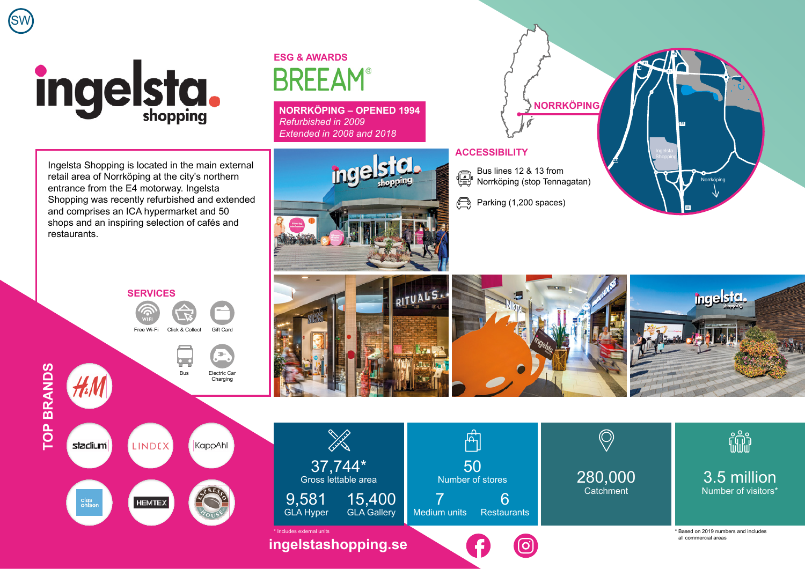

SW

## **ESG & AWARDS BRFFAM**

**NORRKÖPING – OPENED 1994** *Refurbished in 2009 Extended in 2008 and 2018*

Ingelsta Shopping is located in the main external retail area of Norrköping at the city's northern entrance from the E4 motorway. Ingelsta Shopping was recently refurbished and extended and comprises an ICA hypermarket and 50 shops and an inspiring selection of cafés and restaurants.





## **ACCESSIBILITY**

50 Number of stores

 $\mathbb{A}$ 

6 **Restaurants** 

7

- Bus lines 12 & 13 from € <sup>1</sup> Norrköping (stop Tennagatan)
- $\bigoplus$ Parking (1,200 spaces)



280,000 **Catchment** 

3.5 million Number of visitors\*

fili

\* Based on 2019 numbers and includes

all commercial areas





**[ingelstashopping.se](https://ingelstashopping.se/)** \* Includes external units